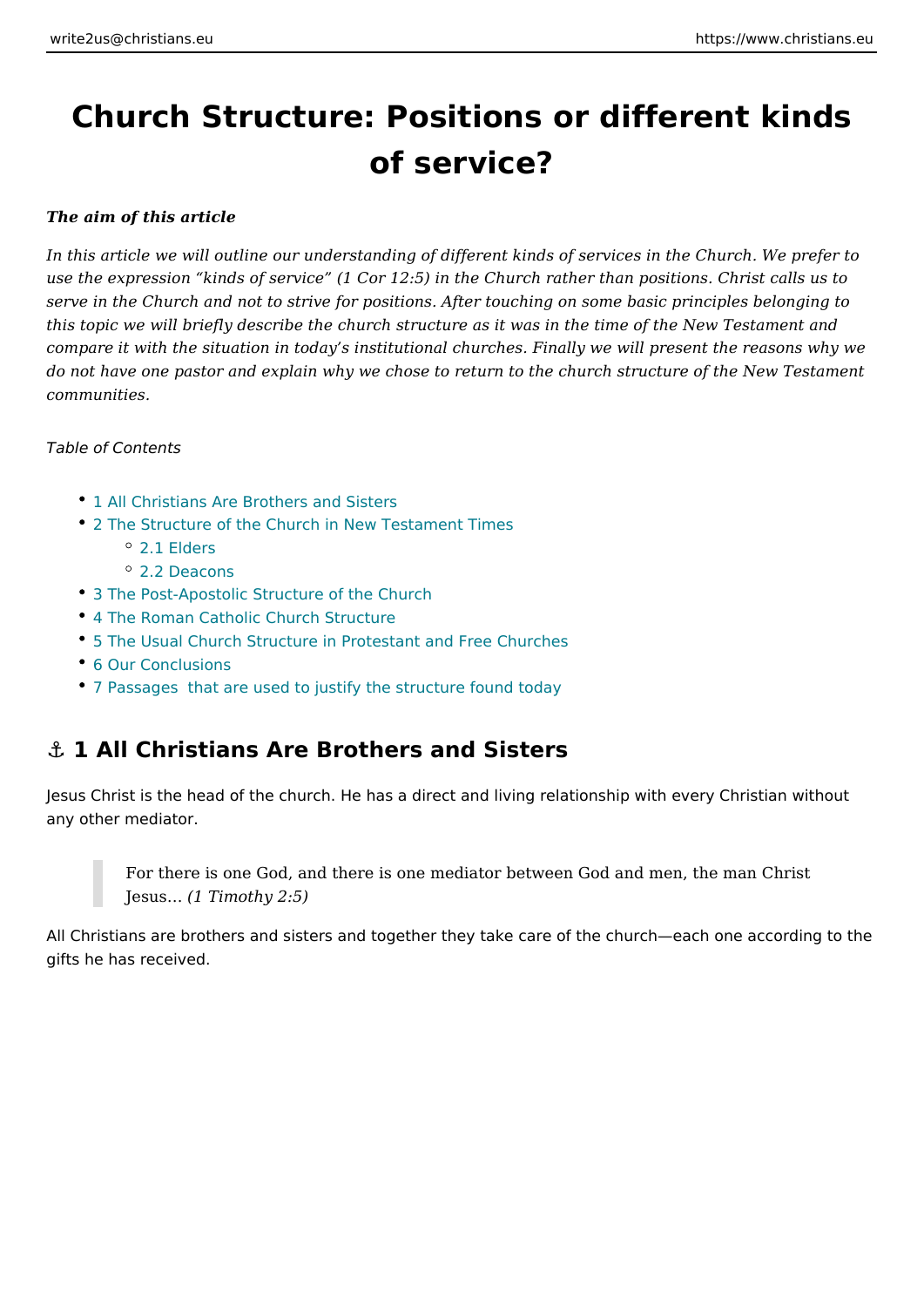# Church Structure: Positions or different of service?

The aim of this article

In this article we will outline our understanding of different kinds of services in use the expression kinds of service (1 Cor 12:5) in the Church rather than positions. serve in the Church and not to strive for positions. After touching on some basic this topic we will briefly describe the church structure as it was in the time of th comparet with the situation in today s institutional churches. Finally we will pres do not have one pastor and explain why we chose to return to the church structu communities.

Table of Contents

- 1 All Christians Are Brothers and Sisters
- [2 The Structure of the Church in New T](#page-1-0)estament Times [2.1 Eld](#page-1-0)ers
	- [2.2 Deac](#page-3-0)ons
- 3 The Post-Apostolic Structure of the Church
- [4 The Roman Catholic Churc](#page-4-0)h Structure
- [5 The Usual Church Structure in Protestant](#page-5-0) and Free Churches
- [6 Our Conclu](#page-5-0)sions
- [7 Passages that are used to justify the str](#page-6-0)ucture found today

#### &" 1 All Christians Are Brothers and Sisters

Jesus Christ is the head of the church. He has a direct and living relationship w any other mediator.

For there is one God, and there is one mediator between God and men,  $Jesus  $&1$  Timothy  $2:5$ )$ 

All Christians are brothers and sisters and together they take care of the church gifts he has received.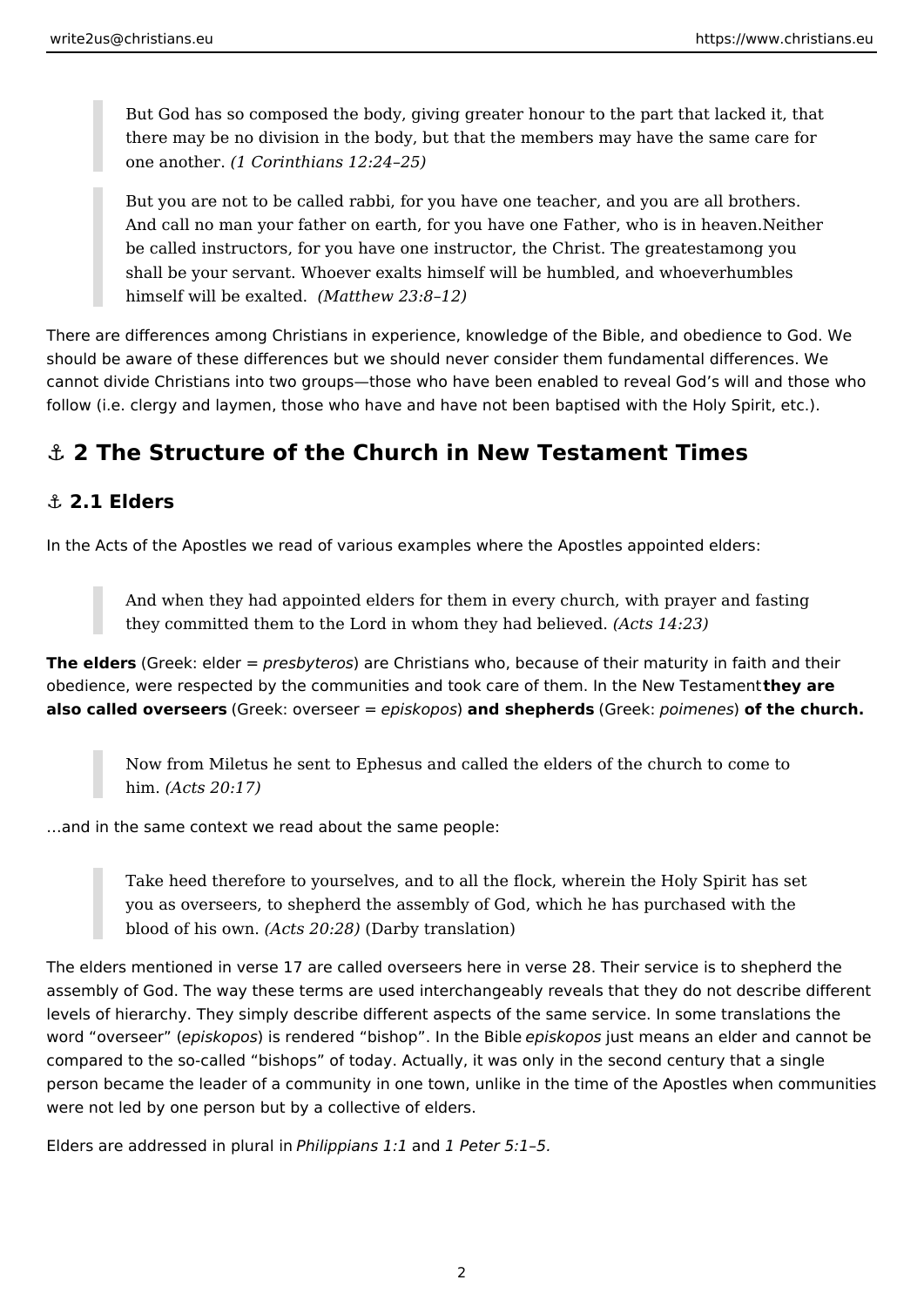<span id="page-1-0"></span>But God has so composed the body, giving greater honour to the part that lacked it, that there may be no division in the body, but that the members may have the same care for one another. *(1 Corinthians 12:24–25)*

But you are not to be called rabbi, for you have one teacher, and you are all brothers. And call no man your father on earth, for you have one Father, who is in heaven.Neither be called instructors, for you have one instructor, the Christ. The greatestamong you shall be your servant. Whoever exalts himself will be humbled, and whoeverhumbles himself will be exalted. *(Matthew 23:8–12)*

There are differences among Christians in experience, knowledge of the Bible, and obedience to God. We should be aware of these differences but we should never consider them fundamental differences. We cannot divide Christians into two groups—those who have been enabled to reveal God's will and those who follow (i.e. clergy and laymen, those who have and have not been baptised with the Holy Spirit, etc.).

# **⚓ 2 The Structure of the Church in New Testament Times**

#### **⚓ 2.1 Elders**

In the Acts of the Apostles we read of various examples where the Apostles appointed elders:

And when they had appointed elders for them in every church, with prayer and fasting they committed them to the Lord in whom they had believed. *(Acts 14:23)*

**The elders** (Greek: elder = *presbyteros*) are Christians who, because of their maturity in faith and their obedience, were respected by the communities and took care of them. In the New Testament **they are also called overseers** (Greek: overseer = *episkopos*) **and shepherds** (Greek: *poimenes*) **of the church.**

Now from Miletus he sent to Ephesus and called the elders of the church to come to him. *(Acts 20:17)*

…and in the same context we read about the same people:

Take heed therefore to yourselves, and to all the flock, wherein the Holy Spirit has set you as overseers, to shepherd the assembly of God, which he has purchased with the blood of his own. *(Acts 20:28)* (Darby translation)

The elders mentioned in verse 17 are called overseers here in verse 28. Their service is to shepherd the assembly of God. The way these terms are used interchangeably reveals that they do not describe different levels of hierarchy. They simply describe different aspects of the same service. In some translations the word "overseer" (*episkopos*) is rendered "bishop". In the Bible *episkopos* just means an elder and cannot be compared to the so-called "bishops" of today. Actually, it was only in the second century that a single person became the leader of a community in one town, unlike in the time of the Apostles when communities were not led by one person but by a collective of elders.

Elders are addressed in plural in *Philippians 1:1* and *1 Peter 5:1–5.*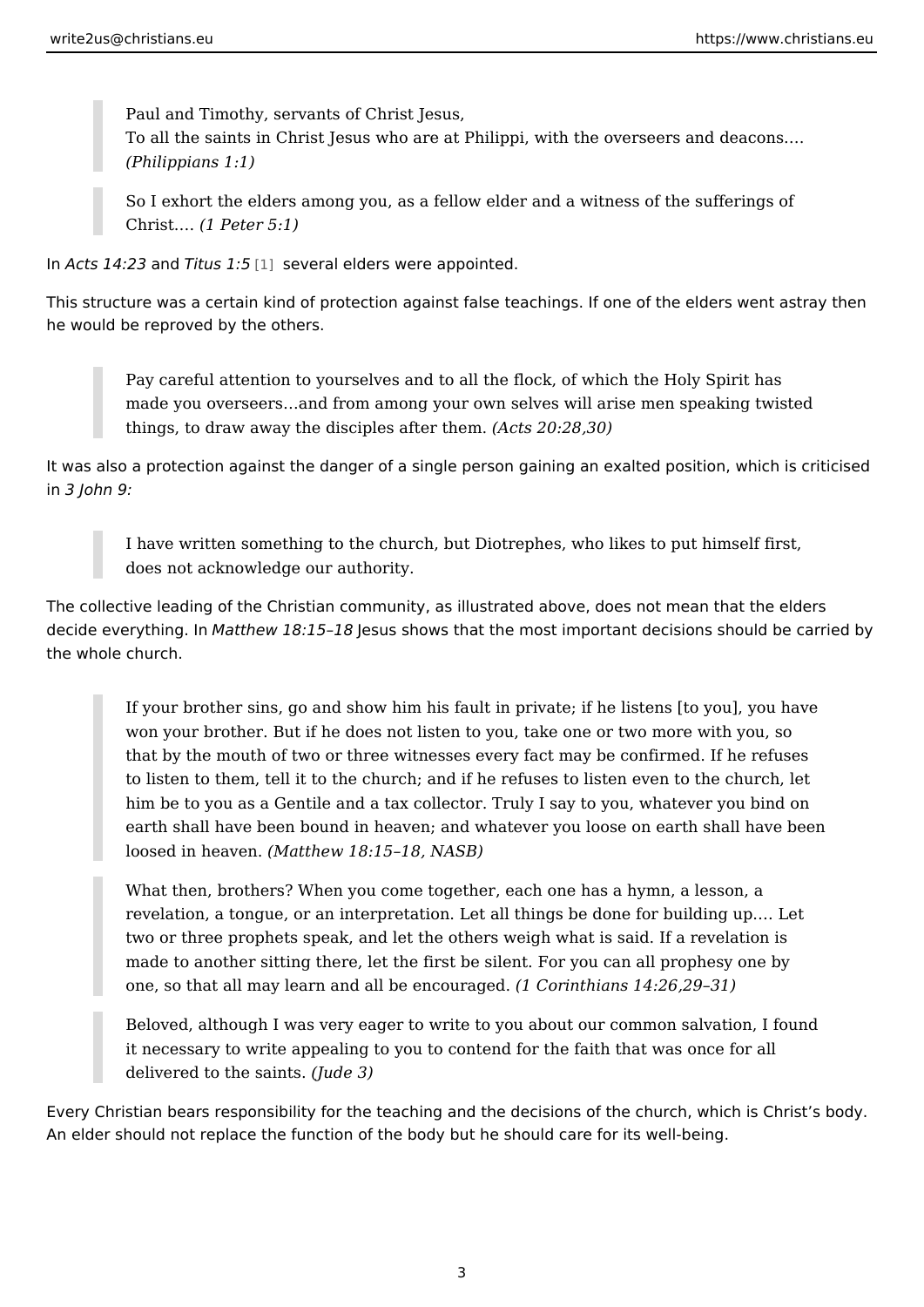Paul and Timothy, servants of Christ Jesus, To all the saints in Christ Jesus who are at Philippi, with the overseers (Philippians 1:1)

So I exhort the elders among you, as a fellow elder and a witness of the  $Christ. 81$  Peter  $5:1$ )

In Acts 14:  $23 d$  Titus 1<sup>15</sup> several elders were appointed.

This structure was a certain kind of protection against false teachings. If one of he would be reproved by the others.

Pay careful attention to yourselves and to all the flock, of which the Ho made you overseers & and from among your own selves will arise men spe things, to draw away the disciple  $\frac{20 \text{ h}}{20 \text{ h}}$  and  $\frac{30}{20}$ 

It was also a protection against the danger of a single person gaining an exalted in 3 John 9:

I have written something to the church, but Diotrephes, who likes to put does not acknowledge our authority.

The collective leading of the Christian community, as illustrated above, does not decide everythi Moattllmew 18:15 Jesus shows that the most important decisions should be carried by an analyzi the whole church.

If your brother sins, go and show him his fault in private; if he listens [ won your brother. But if he does not listen to you, take one or two more that by the mouth of two or three witnesses every fact may be confirmed to listen to them, tell it to the church; and if he refuses to listen even him be to you as a Gentile and a tax collector. Truly I say to you, whate earth shall have been bound in heaven; and whatever you loose on earth loosed in hea Weantthew 18:15 18, NASB)

What then, brothers? When you come together, each one has a hymn, a revelation, a tongue, or an interpretation. Let all things be done for building two or three prophets speak, and let the others weigh what is said. If a made to another sitting there, let the first be silent. For you can all pro one, so that all may learn and all be echa point a gas must  $14:26,29$  31)

Beloved, although I was very eager to write to you about our common sa it necessary to write appealing to you to contend for the faith that was delivered to the  $$div$ which  $3)$ 

Every Christian bears responsibility for the teaching and the decisions of the ch An elder should not replace the function of the body but he should care for its w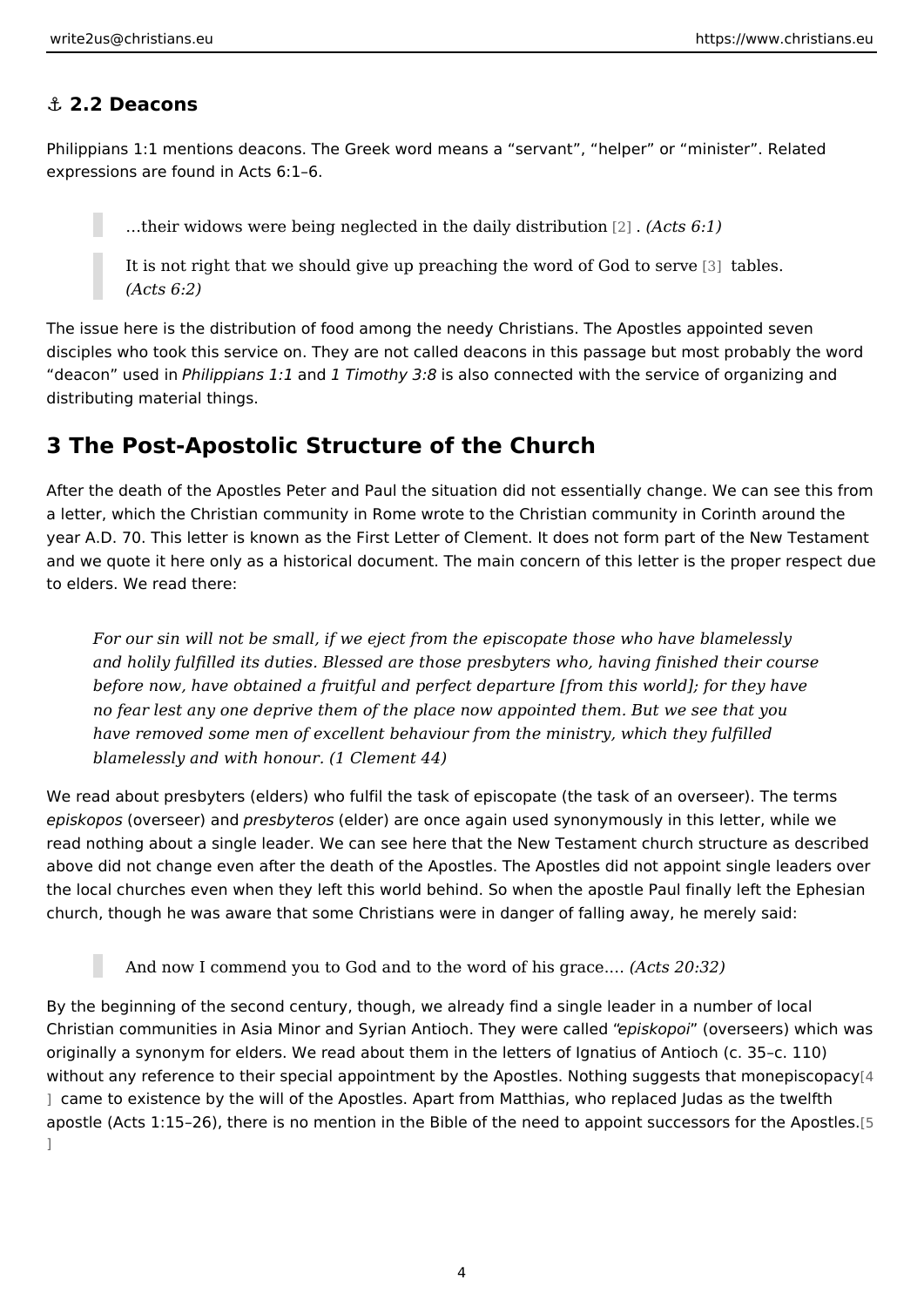#### <span id="page-3-0"></span>&" 2.2 Deacons

Philippians 1:1 mentions deacons. The Greek word means a servant, helper o expressions are found in Acts 6:1 6.

& their widows were being neglected in the dæily Adcits for bution

It is not right that we should give up preaching the Wortch Coldes. Sold to serve (Acts 6:2)

The issue here is the distribution of food among the needy Christians. The Apost disciples who took this service on. They are not called deacons in this passage deacon use dhiin ippians a hid Timothy Bs 8 also connected with the service of organi distributing material things.

#### 3 The Post-Apostolic Structure of the Church

After the death of the Apostles Peter and Paul the situation did not essentially or a letter, which the Christian community in Rome wrote to the Christian communit year A.D. 70. This letter is known as the First Letter of Clement. It does not for and we quote it here only as a historical document. The main concern of this let to elders. We read there:

For our sin will not be small, if we eject from the episcopate those who ha and holily fulfilled its duties. Blessed are those presbyters who, having fir before now, have obtained a fruitful and perfect departure [from this world no fear lest any one deprive them of the place now appointed them. But we have removed some men of excellent behaviour from the ministry, which th blamelessly and with  $h$  to  $\mathbb{C}$ dement 44)

We read about presbyters (elders) who fulfil the task of episcopate (the task of episkop  $\phi$  sverseer) panesbyter (cesider) are once again used synonymously in this lett read nothing about a single leader. We can see here that the New Testament chu above did not change even after the death of the Apostles. The Apostles did not the local churches even when they left this world behind. So when the apostle P church, though he was aware that some Christians were in danger of falling away

And now I commend you to God and to the wor( $\alpha$  oths  $h2\theta$ : $\beta$  $2\theta$ ce. &

By the beginning of the second century, though, we already find a single leader Christian communities in Asia Minor and Syrian Antioechis hTo head in electar Isle ow hich w originally a synonym for elders. We read about them in the letters of Ignatius of without any reference to their special appointment by the Apostles. Nothing asuge ] came to existence by the will of the Apostles. Apart from Matthias, who replace apostle (Acts 1:15 26), there is no mention in the Bible of the need to appo $\beta$ nt s ]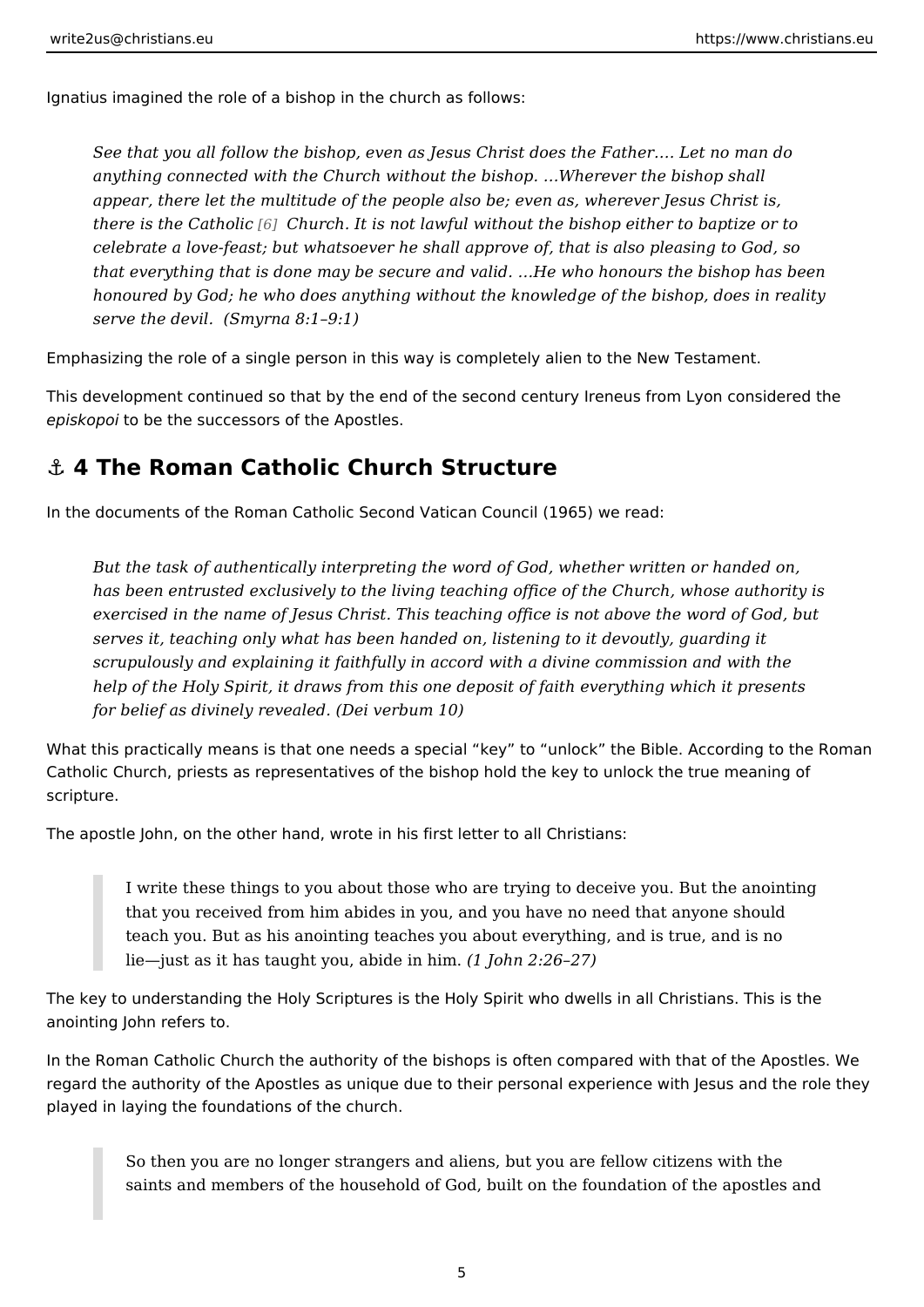<span id="page-4-0"></span>Ignatius imagined the role of a bishop in the church as follows:

See that you all follow the bishop, even as Jesus Christ does the Father. & anything connected with the Church without the bishop. & Wherever the bish appear, there let the multitude of the people also be; even as, wherever  $J_{\ell}$ there is the C[ath](#page-7-0)oCitcurch. It is not lawful without the bishop either to bapt celebrate a love-feast; but whatsoever he shall approve of, that is also ple that everything that is done may be secure and valid. &He who honours the honoured by God; he who does anything without the knowledge of the bisho serve the de Sim yrna  $8:1$  9:1)

Emphasizing the role of a single person in this way is completely alien to the Ne

This development continued so that by the end of the second century Ireneus fro episkoptoi be the successors of the Apostles.

#### &" 4 The Roman Catholic Church Structure

In the documents of the Roman Catholic Second Vatican Council (1965) we read:

But the task of authentically interpreting the word of God, whether written has been entrusted exclusively to the living teaching office of the Church, exercised in the name of Jesus Christ. This teaching office is not above th serves it, teaching only what has been handed on, listening to it devoutly, scrupulously and explaining it faithfully in accord with a divine commission help of the Holy Spirit, it draws from this one deposit of faith everything w for belief as divinely  $n(\mathbf{y})$   $\mathbf{z}$  and  $\mathbf{z}$  and  $\mathbf{z}$  and  $\mathbf{z}$  and  $\mathbf{z}$  are  $\mathbf{z}$  and  $\mathbf{z}$  are  $\mathbf{z}$  are  $\mathbf{z}$  and  $\mathbf{z}$  are  $\mathbf{z}$  are  $\mathbf{z}$  are  $\mathbf{z}$  are  $\mathbf{z}$  are  $\mathbf{z$ 

What this practically means is that one needs a special key to unlock the Bib Catholic Church, priests as representatives of the bishop hold the key to unlock scripture.

The apostle John, on the other hand, wrote in his first letter to all Christians:

I write these things to you about those who are trying to deceive you. B that you received from him abides in you, and you have no need that an teach you. But as his anointing teaches you about everything, and is tru lie just as it has taught you, a $\frac{1}{d}$  de oihn h2m2.6 27)

The key to understanding the Holy Scriptures is the Holy Spirit who dwells in all anointing John refers to.

In the Roman Catholic Church the authority of the bishops is often compared wit regard the authority of the Apostles as unique due to their personal experience played in laying the foundations of the church.

So then you are no longer strangers and aliens, but you are fellow citiz saints and members of the household of God, built on the foundation of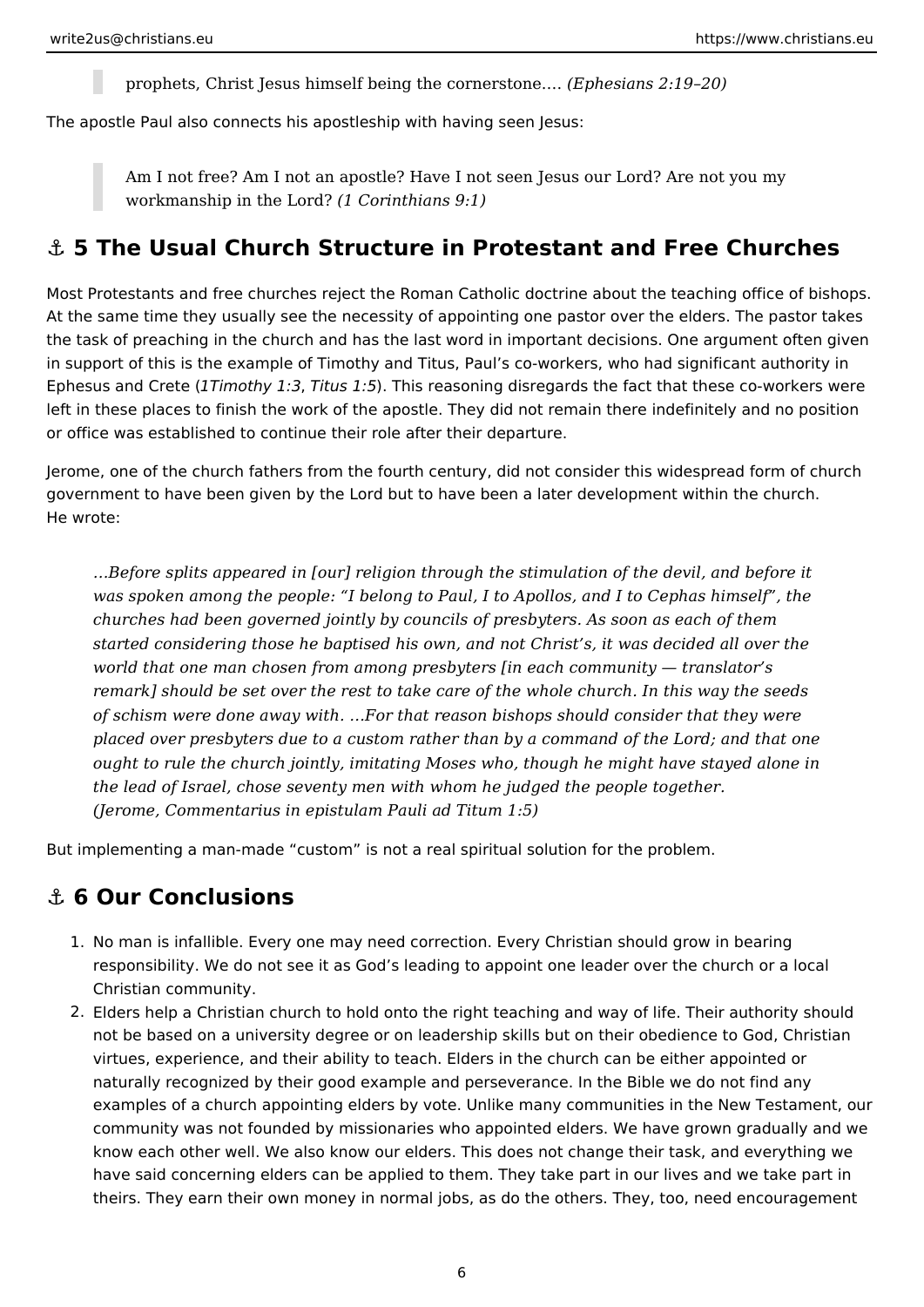prophets, Christ Jesus himself being the cornerstone.… *(Ephesians 2:19–20)*

<span id="page-5-0"></span>The apostle Paul also connects his apostleship with having seen Jesus:

Am I not free? Am I not an apostle? Have I not seen Jesus our Lord? Are not you my workmanship in the Lord? *(1 Corinthians 9:1)*

#### **⚓ 5 The Usual Church Structure in Protestant and Free Churches**

Most Protestants and free churches reject the Roman Catholic doctrine about the teaching office of bishops. At the same time they usually see the necessity of appointing one pastor over the elders. The pastor takes the task of preaching in the church and has the last word in important decisions. One argument often given in support of this is the example of Timothy and Titus, Paul's co-workers, who had significant authority in Ephesus and Crete (*1Timothy 1:3*, *Titus 1:5*). This reasoning disregards the fact that these co-workers were left in these places to finish the work of the apostle. They did not remain there indefinitely and no position or office was established to continue their role after their departure.

Jerome, one of the church fathers from the fourth century, did not consider this widespread form of church government to have been given by the Lord but to have been a later development within the church. He wrote:

*…Before splits appeared in [our] religion through the stimulation of the devil, and before it was spoken among the people: "I belong to Paul, I to Apollos, and I to Cephas himself", the churches had been governed jointly by councils of presbyters. As soon as each of them started considering those he baptised his own, and not Christ's, it was decided all over the world that one man chosen from among presbyters [in each community — translator's remark] should be set over the rest to take care of the whole church. In this way the seeds of schism were done away with. …For that reason bishops should consider that they were placed over presbyters due to a custom rather than by a command of the Lord; and that one ought to rule the church jointly, imitating Moses who, though he might have stayed alone in the lead of Israel, chose seventy men with whom he judged the people together. (Jerome, Commentarius in epistulam Pauli ad Titum 1:5)*

But implementing a man-made "custom" is not a real spiritual solution for the problem.

### **⚓ 6 Our Conclusions**

- 1. No man is infallible. Every one may need correction. Every Christian should grow in bearing responsibility. We do not see it as God's leading to appoint one leader over the church or a local Christian community.
- 2. Elders help a Christian church to hold onto the right teaching and way of life. Their authority should not be based on a university degree or on leadership skills but on their obedience to God, Christian virtues, experience, and their ability to teach. Elders in the church can be either appointed or naturally recognized by their good example and perseverance. In the Bible we do not find any examples of a church appointing elders by vote. Unlike many communities in the New Testament, our community was not founded by missionaries who appointed elders. We have grown gradually and we know each other well. We also know our elders. This does not change their task, and everything we have said concerning elders can be applied to them. They take part in our lives and we take part in theirs. They earn their own money in normal jobs, as do the others. They, too, need encouragement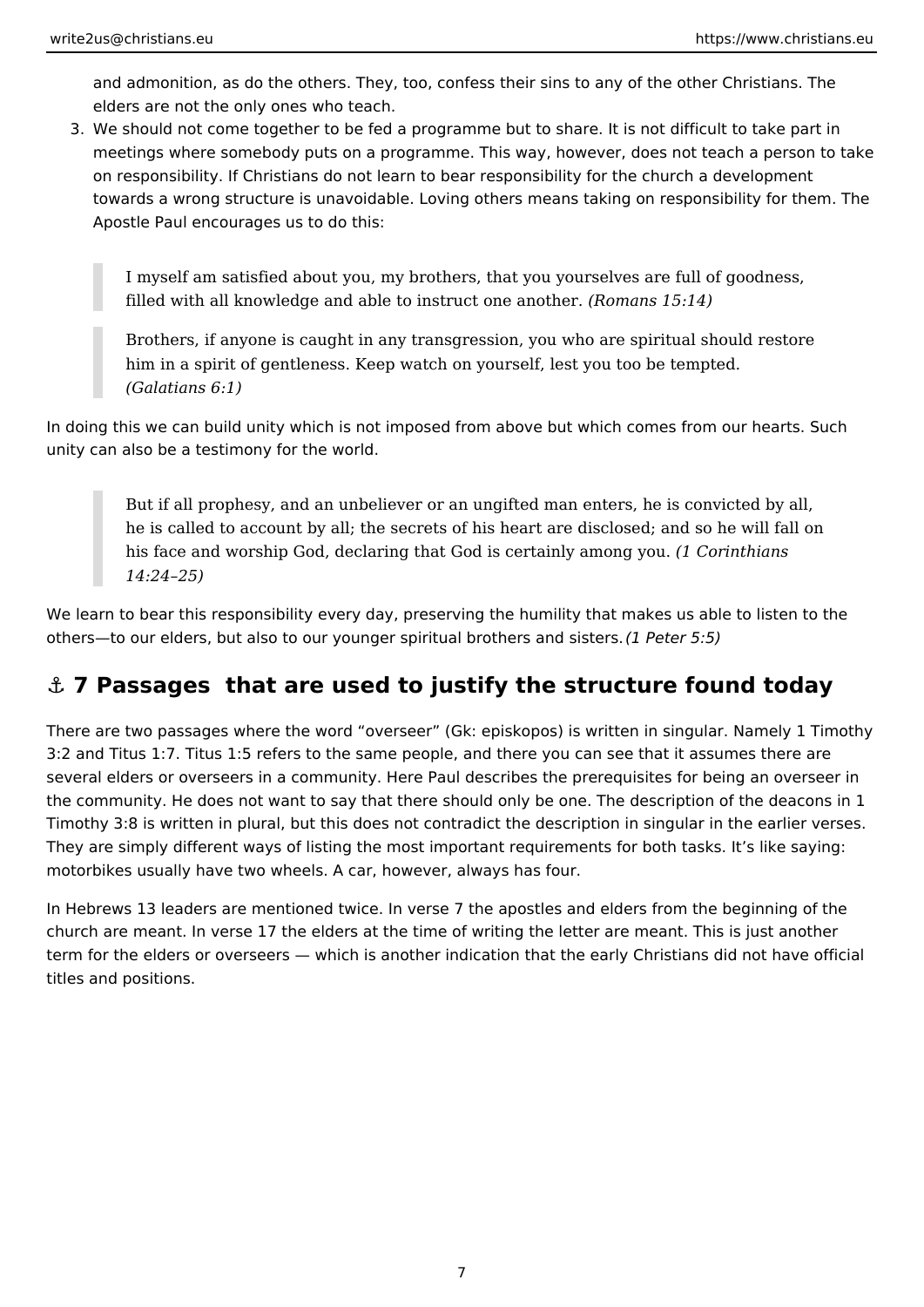<span id="page-6-0"></span>and admonition, as do the others. They, too, confess their sins to any of the other Christians. The elders are not the only ones who teach.

3. We should not come together to be fed a programme but to share. It is not difficult to take part in meetings where somebody puts on a programme. This way, however, does not teach a person to take on responsibility. If Christians do not learn to bear responsibility for the church a development towards a wrong structure is unavoidable. Loving others means taking on responsibility for them. The Apostle Paul encourages us to do this:

I myself am satisfied about you, my brothers, that you yourselves are full of goodness, filled with all knowledge and able to instruct one another. *(Romans 15:14)*

Brothers, if anyone is caught in any transgression, you who are spiritual should restore him in a spirit of gentleness. Keep watch on yourself, lest you too be tempted. *(Galatians 6:1)*

In doing this we can build unity which is not imposed from above but which comes from our hearts. Such unity can also be a testimony for the world.

But if all prophesy, and an unbeliever or an ungifted man enters, he is convicted by all, he is called to account by all; the secrets of his heart are disclosed; and so he will fall on his face and worship God, declaring that God is certainly among you. *(1 Corinthians 14:24–25)*

We learn to bear this responsibility every day, preserving the humility that makes us able to listen to the others—to our elders, but also to our younger spiritual brothers and sisters. *(1 Peter 5:5)*

# **⚓ 7 Passages that are used to justify the structure found today**

There are two passages where the word "overseer" (Gk: episkopos) is written in singular. Namely 1 Timothy 3:2 and Titus 1:7. Titus 1:5 refers to the same people, and there you can see that it assumes there are several elders or overseers in a community. Here Paul describes the prerequisites for being an overseer in the community. He does not want to say that there should only be one. The description of the deacons in 1 Timothy 3:8 is written in plural, but this does not contradict the description in singular in the earlier verses. They are simply different ways of listing the most important requirements for both tasks. It's like saying: motorbikes usually have two wheels. A car, however, always has four.

In Hebrews 13 leaders are mentioned twice. In verse 7 the apostles and elders from the beginning of the church are meant. In verse 17 the elders at the time of writing the letter are meant. This is just another term for the elders or overseers — which is another indication that the early Christians did not have official titles and positions.